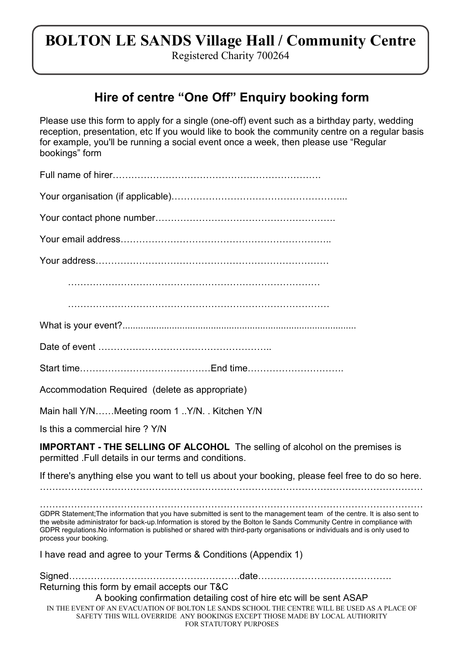## BOLTON LE SANDS Village Hall / Community Centre

Registered Charity 700264

## Hire of centre "One Off" Enquiry booking form

Please use this form to apply for a single (one-off) event such as a birthday party, wedding reception, presentation, etc If you would like to book the community centre on a regular basis for example, you'll be running a social event once a week, then please use "Regular bookings" form

| - 11 |
|------|
|------|

Your organisation (if applicable)………………………………………………...

Your contact phone number………………………………………………….

Your email address…………………………………………………………..

Your address…………………………………………………………………

………………………………………………………………………

…………………………………………………………………………

What is your event?..........................................................................................

Date of event ………………………………………………..

Start time……………………………………End time………………………….

Accommodation Required (delete as appropriate)

Main hall Y/N……Meeting room 1 ..Y/N. . Kitchen Y/N

Is this a commercial hire ? Y/N

IMPORTANT - THE SELLING OF ALCOHOL The selling of alcohol on the premises is permitted .Full details in our terms and conditions.

If there's anything else you want to tell us about your booking, please feel free to do so here.

……………………………………………………………………………………………………………

…………………………………………………………………………………………………………… GDPR Statement;The information that you have submitted is sent to the management team of the centre. It is also sent to the website administrator for back-up.Information is stored by the Bolton le Sands Community Centre in compliance with GDPR regulations.No information is published or shared with third-party organisations or individuals and is only used to process your booking.

I have read and agree to your Terms & Conditions (Appendix 1)

| Returning this form by email accepts our T&C                                                                                                                                                                  |  |
|---------------------------------------------------------------------------------------------------------------------------------------------------------------------------------------------------------------|--|
| A booking confirmation detailing cost of hire etc will be sent ASAP                                                                                                                                           |  |
| IN THE EVENT OF AN EVACUATION OF BOLTON LE SANDS SCHOOL THE CENTRE WILL BE USED AS A PLACE OF<br>SAFETY THIS WILL OVERRIDE ANY BOOKINGS EXCEPT THOSE MADE BY LOCAL AUTHORITY<br><b>FOR STATUTORY PURPOSES</b> |  |